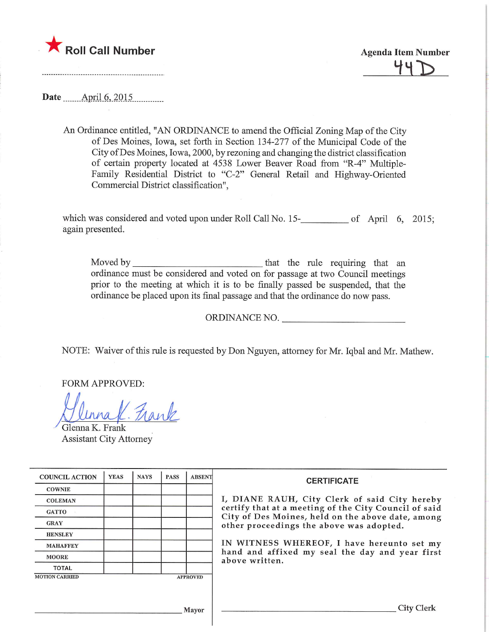

 $44\,$ 

Date **April.6**, 2015

An Ordinance entitled, "AN ORDINANCE to amend the Official Zoning Map of the City of Des Moines, Iowa, set forth in Section 134-277 of the Municipal Code of the City ofDes Moines, Iowa, 2000, by rezoning and changing the district classification of certain property located at 4538 Lower Beaver Road from "R-4" Multiple-Family Residential District to "C-2" General Retail and Highway-Oriented Commercial District classification",

which was considered and voted upon under Roll Call No.  $15$ - $\mu$  and  $\mu$  of April 6, 2015; again presented.

Moved by that the rule requiring that an ordinance must be considered and voted on for passage at two Council meetings prior to the meeting at which it is to be finally passed be suspended, that the ordinance be placed upon its final passage and that the ordinance do now pass.

ORDINANCE NO.

NOTE: Waiver of this mle is requested by Don Nguyen, attorney for Mr. Iqbal and Mr. Mathew.

FORM APPROVED:

Glunna K. Frank

Glenna K. Frank Assistant City Attorney

| <b>COUNCIL ACTION</b>                    | <b>YEAS</b> | <b>NAYS</b> | <b>PASS</b> | <b>ABSENT</b> | <b>CERTIFICATE</b><br>I, DIANE RAUH, City Clerk of said City hereby<br>certify that at a meeting of the City Council of said<br>City of Des Moines, held on the above date, among |  |  |
|------------------------------------------|-------------|-------------|-------------|---------------|-----------------------------------------------------------------------------------------------------------------------------------------------------------------------------------|--|--|
| <b>COWNIE</b>                            |             |             |             |               |                                                                                                                                                                                   |  |  |
| <b>COLEMAN</b>                           |             |             |             |               |                                                                                                                                                                                   |  |  |
| <b>GATTO</b>                             |             |             |             |               |                                                                                                                                                                                   |  |  |
| <b>GRAY</b>                              |             |             |             |               | other proceedings the above was adopted.                                                                                                                                          |  |  |
| <b>HENSLEY</b>                           |             |             |             |               |                                                                                                                                                                                   |  |  |
| <b>MAHAFFEY</b>                          |             |             |             |               | IN WITNESS WHEREOF, I have hereunto set my<br>hand and affixed my seal the day and year first<br>above written.                                                                   |  |  |
| <b>MOORE</b>                             |             |             |             |               |                                                                                                                                                                                   |  |  |
| <b>TOTAL</b>                             |             |             |             |               |                                                                                                                                                                                   |  |  |
| <b>MOTION CARRIED</b><br><b>APPROVED</b> |             |             |             |               |                                                                                                                                                                                   |  |  |
|                                          |             |             |             |               |                                                                                                                                                                                   |  |  |
|                                          |             |             |             |               |                                                                                                                                                                                   |  |  |
|                                          |             |             |             | Mayor         | City C                                                                                                                                                                            |  |  |